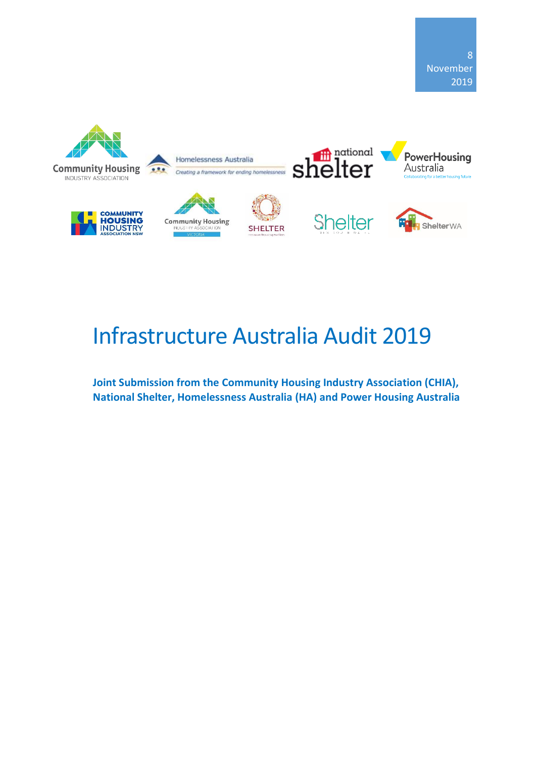

# Infrastructure Australia Audit 2019

**Joint Submission from the Community Housing Industry Association (CHIA), National Shelter, Homelessness Australia (HA) and Power Housing Australia**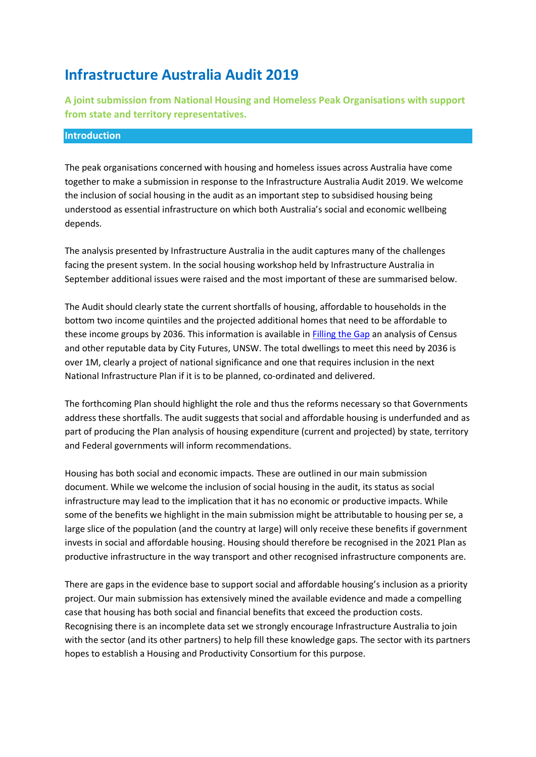## **Infrastructure Australia Audit 2019**

**A joint submission from National Housing and Homeless Peak Organisations with support from state and territory representatives.**

#### **Introduction**

The peak organisations concerned with housing and homeless issues across Australia have come together to make a submission in response to the Infrastructure Australia Audit 2019. We welcome the inclusion of social housing in the audit as an important step to subsidised housing being understood as essential infrastructure on which both Australia's social and economic wellbeing depends.

The analysis presented by Infrastructure Australia in the audit captures many of the challenges facing the present system. In the social housing workshop held by Infrastructure Australia in September additional issues were raised and the most important of these are summarised below.

The Audit should clearly state the current shortfalls of housing, affordable to households in the bottom two income quintiles and the projected additional homes that need to be affordable to these income groups by 2036. This information is available in [Filling the Gap](http://communityhousing.org.au/wp-content/uploads/2019/03/Modelling_costs_of_housing_provision_FINAL.pdf) an analysis of Census and other reputable data by City Futures, UNSW. The total dwellings to meet this need by 2036 is over 1M, clearly a project of national significance and one that requires inclusion in the next National Infrastructure Plan if it is to be planned, co-ordinated and delivered.

The forthcoming Plan should highlight the role and thus the reforms necessary so that Governments address these shortfalls. The audit suggests that social and affordable housing is underfunded and as part of producing the Plan analysis of housing expenditure (current and projected) by state, territory and Federal governments will inform recommendations.

Housing has both social and economic impacts. These are outlined in our main submission document. While we welcome the inclusion of social housing in the audit, its status as social infrastructure may lead to the implication that it has no economic or productive impacts. While some of the benefits we highlight in the main submission might be attributable to housing per se, a large slice of the population (and the country at large) will only receive these benefits if government invests in social and affordable housing. Housing should therefore be recognised in the 2021 Plan as productive infrastructure in the way transport and other recognised infrastructure components are.

There are gaps in the evidence base to support social and affordable housing's inclusion as a priority project. Our main submission has extensively mined the available evidence and made a compelling case that housing has both social and financial benefits that exceed the production costs. Recognising there is an incomplete data set we strongly encourage Infrastructure Australia to join with the sector (and its other partners) to help fill these knowledge gaps. The sector with its partners hopes to establish a Housing and Productivity Consortium for this purpose.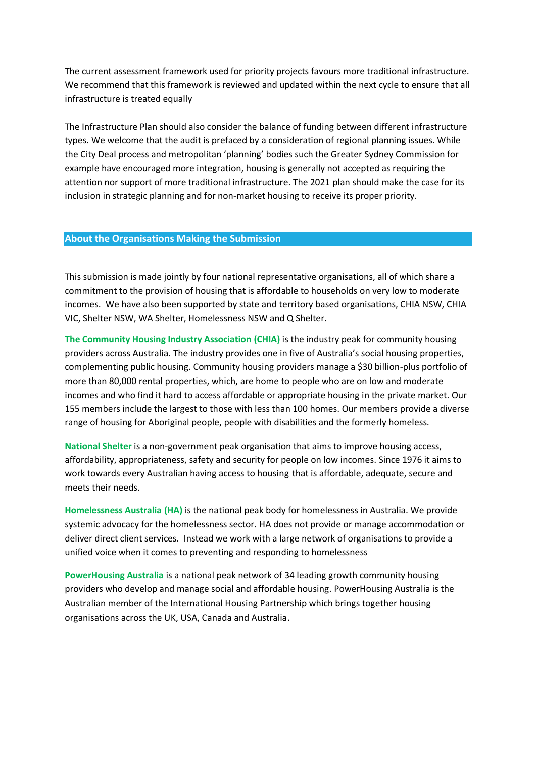The current assessment framework used for priority projects favours more traditional infrastructure. We recommend that this framework is reviewed and updated within the next cycle to ensure that all infrastructure is treated equally

The Infrastructure Plan should also consider the balance of funding between different infrastructure types. We welcome that the audit is prefaced by a consideration of regional planning issues. While the City Deal process and metropolitan 'planning' bodies such the Greater Sydney Commission for example have encouraged more integration, housing is generally not accepted as requiring the attention nor support of more traditional infrastructure. The 2021 plan should make the case for its inclusion in strategic planning and for non-market housing to receive its proper priority.

#### **About the Organisations Making the Submission**

This submission is made jointly by four national representative organisations, all of which share a commitment to the provision of housing that is affordable to households on very low to moderate incomes. We have also been supported by state and territory based organisations, CHIA NSW, CHIA VIC, Shelter NSW, WA Shelter, Homelessness NSW and Q Shelter.

**The Community Housing Industry Association (CHIA)** is the industry peak for community housing providers across Australia. The industry provides one in five of Australia's social housing properties, complementing public housing. Community housing providers manage a \$30 billion-plus portfolio of more than 80,000 rental properties, which, are home to people who are on low and moderate incomes and who find it hard to access affordable or appropriate housing in the private market. Our 155 members include the largest to those with less than 100 homes. Our members provide a diverse range of housing for Aboriginal people, people with disabilities and the formerly homeless.

**National Shelter** is a non-government peak organisation that aims to improve housing access, affordability, appropriateness, safety and security for people on low incomes. Since 1976 it aims to work towards every Australian having access to housing that is affordable, adequate, secure and meets their needs.

**Homelessness Australia (HA)** is the national peak body for homelessness in Australia. We provide systemic advocacy for the homelessness sector. HA does not provide or manage accommodation or deliver direct client services. Instead we work with a large network of organisations to provide a unified voice when it comes to preventing and responding to homelessness

**PowerHousing Australia** is a national peak network of 34 leading growth community housing providers who develop and manage social and affordable housing. PowerHousing Australia is the Australian member of the International Housing Partnership which brings together housing organisations across the UK, USA, Canada and Australia.